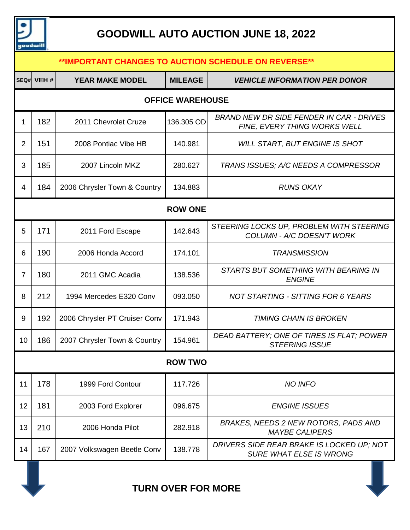

# **GOODWILL AUTO AUCTION JUNE 18, 2022**

| **IMPORTANT CHANGES TO AUCTION SCHEDULE ON REVERSE** |            |                               |                |                                                                                 |  |  |  |
|------------------------------------------------------|------------|-------------------------------|----------------|---------------------------------------------------------------------------------|--|--|--|
|                                                      | SEQ# VEH # | <b>YEAR MAKE MODEL</b>        | <b>MILEAGE</b> | <b>VEHICLE INFORMATION PER DONOR</b>                                            |  |  |  |
| <b>OFFICE WAREHOUSE</b>                              |            |                               |                |                                                                                 |  |  |  |
| 1                                                    | 182        | 2011 Chevrolet Cruze          | 136.305 OD     | <b>BRAND NEW DR SIDE FENDER IN CAR - DRIVES</b><br>FINE, EVERY THING WORKS WELL |  |  |  |
| $\overline{2}$                                       | 151        | 2008 Pontiac Vibe HB          | 140.981        | <b>WILL START, BUT ENGINE IS SHOT</b>                                           |  |  |  |
| 3                                                    | 185        | 2007 Lincoln MKZ              | 280.627        | TRANS ISSUES; A/C NEEDS A COMPRESSOR                                            |  |  |  |
| 4                                                    | 184        | 2006 Chrysler Town & Country  | 134.883        | <b>RUNS OKAY</b>                                                                |  |  |  |
| <b>ROW ONE</b>                                       |            |                               |                |                                                                                 |  |  |  |
| 5                                                    | 171        | 2011 Ford Escape              | 142.643        | STEERING LOCKS UP, PROBLEM WITH STEERING<br>COLUMN - A/C DOESN'T WORK           |  |  |  |
| 6                                                    | 190        | 2006 Honda Accord             | 174.101        | <b>TRANSMISSION</b>                                                             |  |  |  |
| $\overline{7}$                                       | 180        | 2011 GMC Acadia               | 138.536        | STARTS BUT SOMETHING WITH BEARING IN<br><b>ENGINE</b>                           |  |  |  |
| 8                                                    | 212        | 1994 Mercedes E320 Conv       | 093.050        | <b>NOT STARTING - SITTING FOR 6 YEARS</b>                                       |  |  |  |
| 9                                                    | 192        | 2006 Chrysler PT Cruiser Conv | 171.943        | <b>TIMING CHAIN IS BROKEN</b>                                                   |  |  |  |
| 10                                                   | 186        | 2007 Chrysler Town & Country  | 154.961        | DEAD BATTERY; ONE OF TIRES IS FLAT; POWER<br><b>STEERING ISSUE</b>              |  |  |  |
| <b>ROW TWO</b>                                       |            |                               |                |                                                                                 |  |  |  |
| 11                                                   | 178        | 1999 Ford Contour             | 117.726        | <b>NO INFO</b>                                                                  |  |  |  |
| 12                                                   | 181        | 2003 Ford Explorer            | 096.675        | <b>ENGINE ISSUES</b>                                                            |  |  |  |
| 13                                                   | 210        | 2006 Honda Pilot              | 282.918        | BRAKES, NEEDS 2 NEW ROTORS, PADS AND<br><b>MAYBE CALIPERS</b>                   |  |  |  |
| 14                                                   | 167        | 2007 Volkswagen Beetle Conv   | 138.778        | DRIVERS SIDE REAR BRAKE IS LOCKED UP; NOT<br><b>SURE WHAT ELSE IS WRONG</b>     |  |  |  |



**TURN OVER FOR MORE**